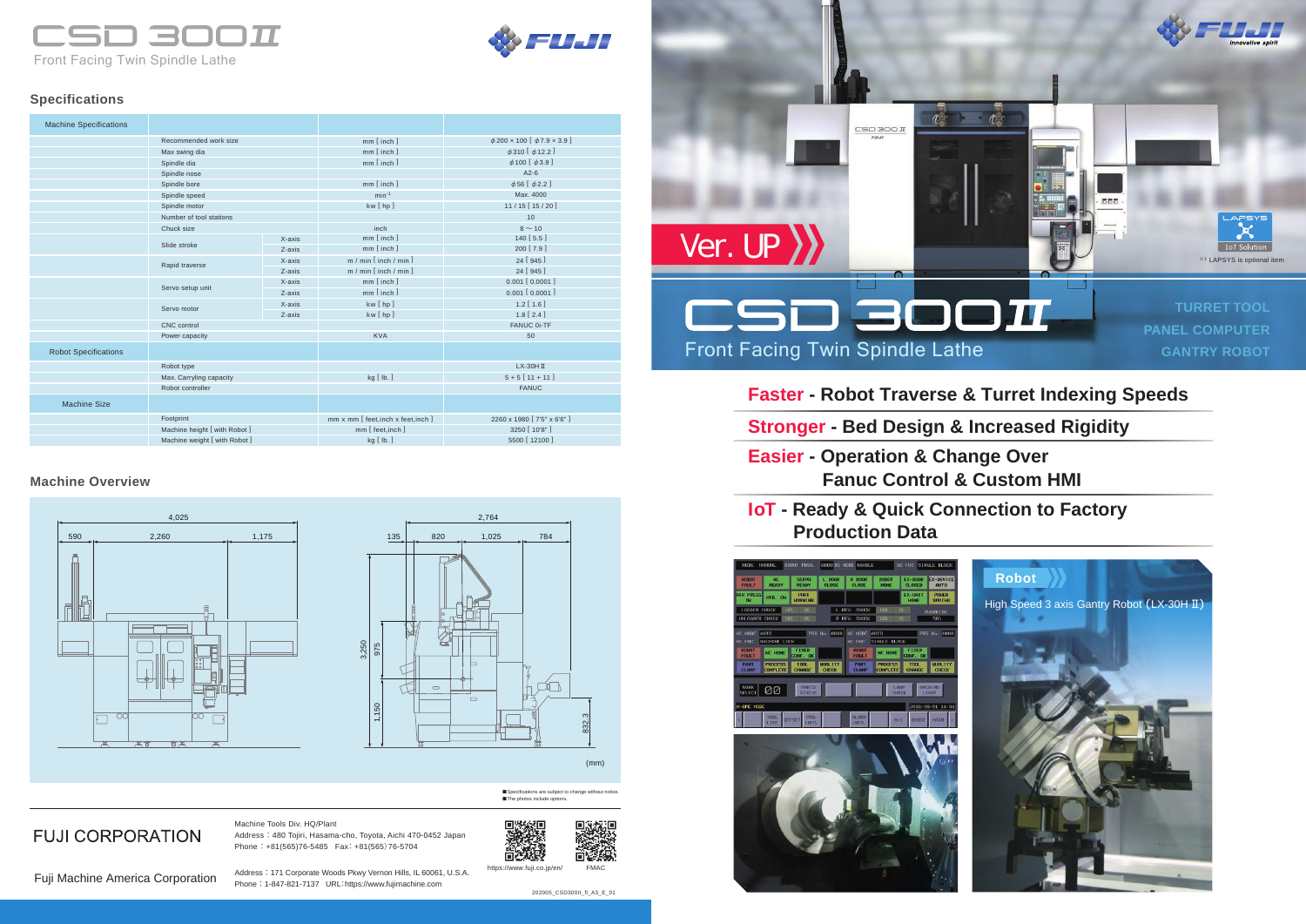والسواد Front Facing Twin Spindle Lathe







**FUJI CORPORATION** 

# **Faster - Robot Traverse & Turret Indexing Speeds**

- **Stronger Bed Design & Increased Rigidity**
- **Easier Operation & Change Over Fanuc Control & Custom HMI**

# **IoT - Ready & Quick Connection to Factory Production Data**

#### **Machine Overview**



■ Specifications are subject to change without notice ■ The photos include option





### **Specifications**

Machine Tools Div. HQ/Plant Address : 480 Tojiri, Hasama-cho, Toyota, Aichi 470-0452 Japan Phone : +81(565)76-5485 Fax: +81(565)76-5704

Address : 171 Corporate Woods Pkwy Vernon Hills, IL 60061, U.S.A. Phone : 1-847-821-7137 URL:https://www.fujimachine.com

| <b>Machine Specifications</b> |                               |        |                                     |                                      |
|-------------------------------|-------------------------------|--------|-------------------------------------|--------------------------------------|
|                               | Recommended work size         |        | mm [inch]                           | $\phi$ 200 × 100 [ $\phi$ 7.9 × 3.9] |
|                               | Max swing dia                 |        | mm [inch]                           | $\phi$ 310 [ $\phi$ 12.2 ]           |
|                               | Spindle dia                   |        | $mm$ [inch]                         | $\phi$ 100 $[\phi$ 3.9]              |
|                               | Spindle nose                  |        |                                     | $A2-6$                               |
|                               | Spindle bore                  |        | mm [inch]                           | $\phi$ 56 [ $\phi$ 2.2 ]             |
|                               | Spindle speed                 |        | $min^{-1}$                          | Max. 4000                            |
|                               | Spindle motor                 |        | kw [hp]                             | $11/15$ [15/20]                      |
|                               | Number of tool stations       |        |                                     | 10                                   |
|                               | Chuck size                    |        | inch                                | $8 \sim 10$                          |
|                               |                               | X-axis | mm [inch]                           | 140 [5.5]                            |
|                               | Slide stroke                  | Z-axis | mm [inch]                           | 200 [7.9]                            |
|                               | Rapid traverse                | X-axis | $m / min$ [inch / min ]             | 24 [945]                             |
|                               |                               | Z-axis | $m / min$ [inch / min ]             | 24 [945]                             |
|                               | Servo setup unit              | X-axis | mm [ inch ]                         | 0.001 [ 0.0001 ]                     |
|                               |                               | Z-axis | $mm$ [inch]                         | $0.001$ [ $0.0001$ ]                 |
|                               | Servo motor                   | X-axis | kw [hp]                             | $1.2$ [ $1.6$ ]                      |
|                               |                               | Z-axis | kw[hp]                              | $1.8$ [ $2.4$ ]                      |
|                               | <b>CNC</b> control            |        |                                     | FANUC 0i-TF                          |
|                               | Power capacity                |        | <b>KVA</b>                          | 50                                   |
| <b>Robot Specifications</b>   |                               |        |                                     |                                      |
|                               | Robot type                    |        |                                     | LX-30H II                            |
|                               | Max. Carryling capacity       |        | $kg$ [ $lb.$ ]                      | $5 + 5$ [ 11 + 11 ]                  |
|                               | Robot controller              |        |                                     | <b>FANUC</b>                         |
| <b>Machine Size</b>           |                               |        |                                     |                                      |
|                               | Footprint                     |        | mm x mm [ feet, inch x feet, inch ] | 2260 x 1980 [ 7'5" x 6'6" ]          |
|                               | Machine height [ with Robot ] |        | mm [ feet, inch ]                   | 3250 [ 10'8" ]                       |
|                               | Machine weight [ with Robot ] |        | $kg$ [ $lb.$ ]                      | 5500 [ 12100 ]                       |

https://www.fuji.co.jp/en/ FMAC

Fuji Machine America Corporation